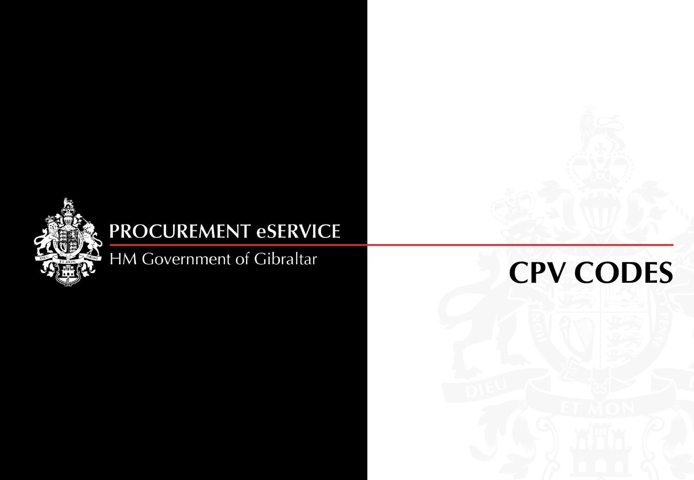

HM Government of Gibraltar

# **CPV CODES**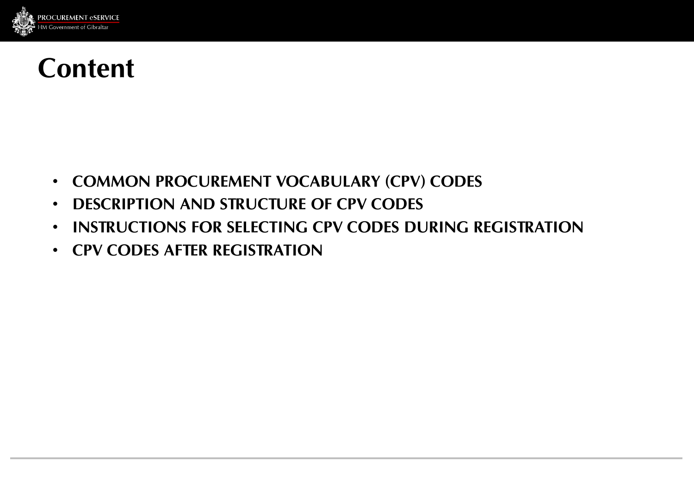

# Content

- **COMMON PROCUREMENT VOCABULARY (CPV) CODES**
- **DESCRIPTION AND STRUCTURE OF CPV CODES**
- **INSTRUCTIONS FOR SELECTING CPV CODES DURING REGISTRATION**
- **CPV CODES AFTER REGISTRATION**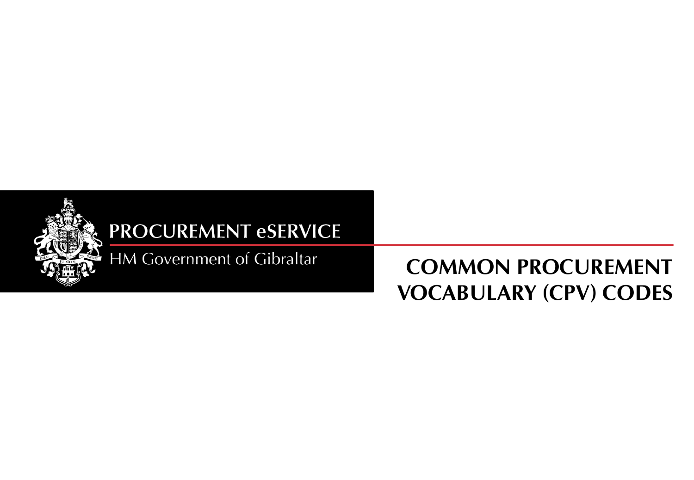

HM Government of Gibraltar

# COMMON PROCUREMENT VOCABULARY (CPV) CODES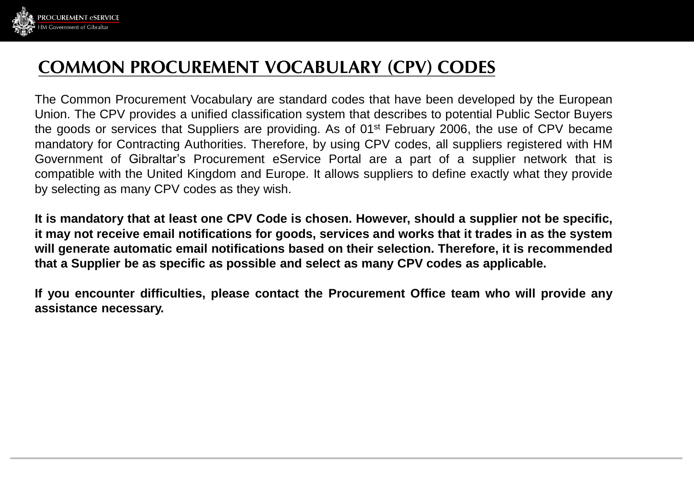

#### **COMMON PROCUREMENT VOCABULARY (CPV) CODES**

The Common Procurement Vocabulary are standard codes that have been developed by the European Union. The CPV provides a unified classification system that describes to potential Public Sector Buyers the goods or services that Suppliers are providing. As of 01<sup>st</sup> February 2006, the use of CPV became mandatory for Contracting Authorities. Therefore, by using CPV codes, all suppliers registered with HM Government of Gibraltar's Procurement eService Portal are a part of a supplier network that is compatible with the United Kingdom and Europe. It allows suppliers to define exactly what they provide by selecting as many CPV codes as they wish.

**It is mandatory that at least one CPV Code is chosen. However, should a supplier not be specific,** it may not receive email notifications for goods, services and works that it trades in as the system **will generate automatic email notifications based on their selection. Therefore, it is recommended that a Supplier be as specific as possible and select as many CPV codes as applicable.**

**If you encounter difficulties, please contact the Procurement Office team who will provide any assistance necessary.**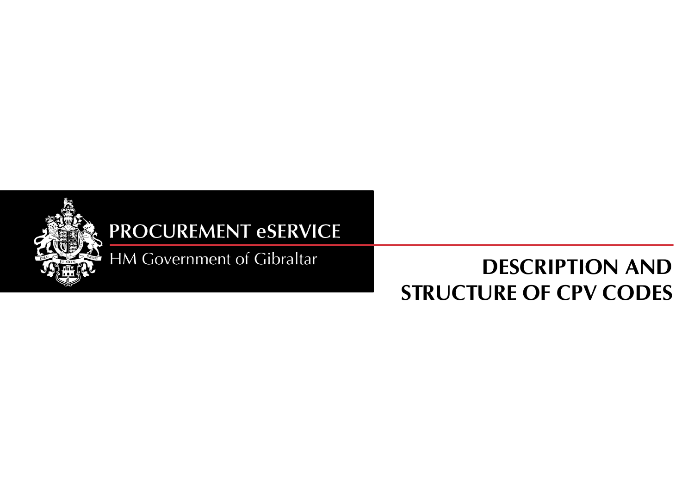

HM Government of Gibraltar

### DESCRIPTION AND STRUCTURE OF CPV CODES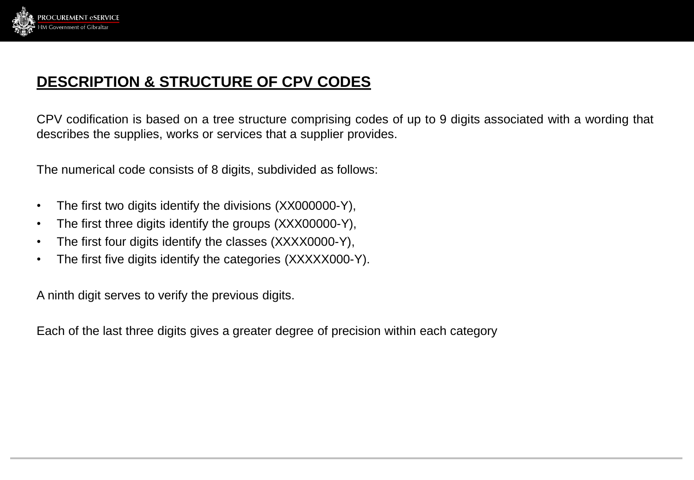

#### **DESCRIPTION & STRUCTURE OF CPV CODES**

CPV codification is based on a tree structure comprising codes of up to 9 digits associated with a wording that describes the supplies, works or services that a supplier provides.

The numerical code consists of 8 digits, subdivided as follows:

- The first two digits identify the divisions (XX000000-Y),
- The first three digits identify the groups (XXX00000-Y),
- The first four digits identify the classes (XXXX0000-Y),
- The first five digits identify the categories (XXXXX000-Y).

A ninth digit serves to verify the previous digits.

Each of the last three digits gives a greater degree of precision within each category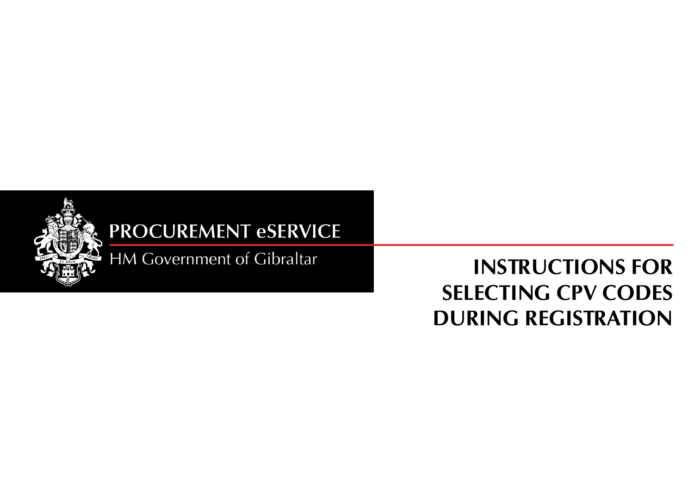

HM Government of Gibraltar

# INSTRUCTIONS FOR SELECTING CPV CODES DURING REGISTRATION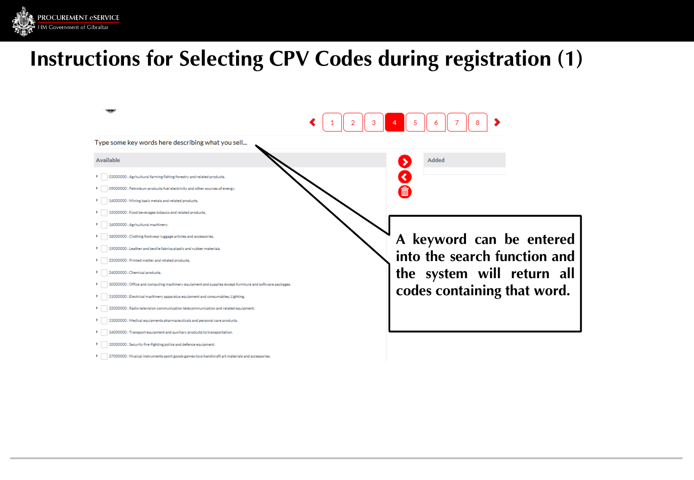# **Instructions for Selecting CPV Codes during registration (1)**

| Type some key words here describing what you sell                                                                                                                                                                                                                                                                                                                                                                                                                                                                                                                                                                                                                                                                                                                                                                                                                                                       |                                                                                                                            |
|---------------------------------------------------------------------------------------------------------------------------------------------------------------------------------------------------------------------------------------------------------------------------------------------------------------------------------------------------------------------------------------------------------------------------------------------------------------------------------------------------------------------------------------------------------------------------------------------------------------------------------------------------------------------------------------------------------------------------------------------------------------------------------------------------------------------------------------------------------------------------------------------------------|----------------------------------------------------------------------------------------------------------------------------|
| Available                                                                                                                                                                                                                                                                                                                                                                                                                                                                                                                                                                                                                                                                                                                                                                                                                                                                                               | Added                                                                                                                      |
| 03000000 : Agricultural farming fishing forestry and related products.<br>09000000: Petroleum products fuel electricity and other sources of energy.<br>14000000: Mining basic metals and related products.<br>15000000: Food beverages tobacco and related products.<br>16000000 : Agricultural machinery.<br>18000000: Clothing footwear luggage articles and accessories.<br>19000000: Leather and textile fabrics plastic and rubber materials.<br>22000000: Printed matter and related products.<br>24000000 : Chemical products.<br>30000000 : Office and computing machinery equipment and supplies except furniture and software packages.<br>31000000 : Electrical machinery apparatus equipment and consumables; Lighting.<br>32000000 : Radio television communication telecommunication and related equipment.<br>33000000 : Medical equipments pharmaceuticals and personal care products. | 侖<br>A keyword can be entered<br>into the search function and<br>the system will return all<br>codes containing that word. |
| 34000000: Transport equipment and auxiliary products to transportation.                                                                                                                                                                                                                                                                                                                                                                                                                                                                                                                                                                                                                                                                                                                                                                                                                                 |                                                                                                                            |
| 35000000: Security fire-fighting police and defence equipment.                                                                                                                                                                                                                                                                                                                                                                                                                                                                                                                                                                                                                                                                                                                                                                                                                                          |                                                                                                                            |
| 37000000: Musical instruments sport goods games toys handicraft art materials and accessories.                                                                                                                                                                                                                                                                                                                                                                                                                                                                                                                                                                                                                                                                                                                                                                                                          |                                                                                                                            |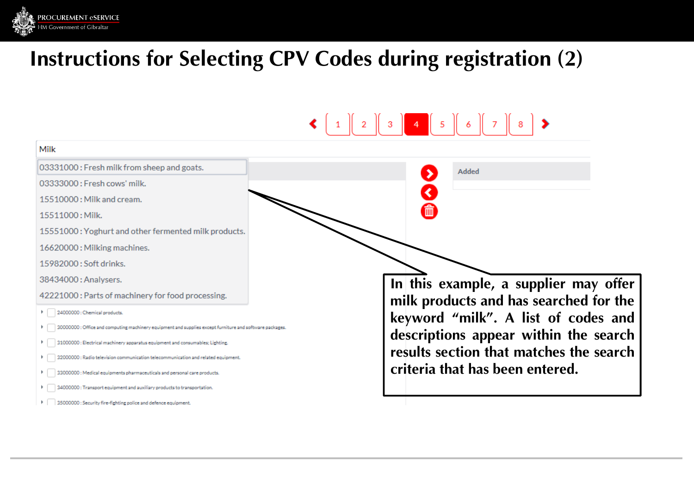

# **Instructions for Selecting CPV Codes during registration (2)**

| Milk                                                                                                                                                                                                                                                                                                                                                                                                                                                                                                                                                                                                             |                                                                                                                                                                                                                                               |
|------------------------------------------------------------------------------------------------------------------------------------------------------------------------------------------------------------------------------------------------------------------------------------------------------------------------------------------------------------------------------------------------------------------------------------------------------------------------------------------------------------------------------------------------------------------------------------------------------------------|-----------------------------------------------------------------------------------------------------------------------------------------------------------------------------------------------------------------------------------------------|
| 03331000: Fresh milk from sheep and goats.<br>03333000 : Fresh cows' milk.<br>15510000 : Milk and cream.<br>15511000: Milk.<br>15551000: Yoghurt and other fermented milk products.                                                                                                                                                                                                                                                                                                                                                                                                                              | Added                                                                                                                                                                                                                                         |
| 16620000: Milking machines.<br>15982000 : Soft drinks.<br>38434000 : Analysers.<br>42221000 : Parts of machinery for food processing.<br>24000000 : Chemical products.<br>30000000 : Office and computing machinery equipment and supplies except furniture and software packages.<br>31000000 : Electrical machinery apparatus equipment and consumables; Lighting.<br>32000000: Radio television communication telecommunication and related equipment.<br>33000000: Medical equipments pharmaceuticals and personal care products.<br>34000000: Transport equipment and auxiliary products to transportation. | In this example, a supplier may offer<br>milk products and has searched for the<br>keyword "milk". A list of codes and<br>descriptions appear within the search<br>results section that matches the search<br>criteria that has been entered. |

| | | 35000000 : Security fire-fighting police and defence equipment.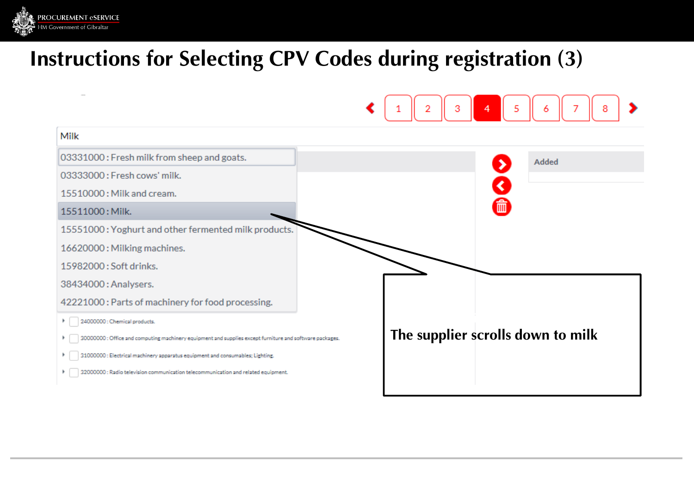

# **Instructions for Selecting CPV Codes during registration (3)**

|                                                                                                          | $\overline{2}$<br>3<br>5<br>4<br>6 |
|----------------------------------------------------------------------------------------------------------|------------------------------------|
| Milk                                                                                                     |                                    |
| 03331000: Fresh milk from sheep and goats.                                                               | Added                              |
| 03333000 : Fresh cows' milk.                                                                             |                                    |
| 15510000 : Milk and cream.                                                                               |                                    |
| 15511000: Milk.                                                                                          | 圙                                  |
| 15551000: Yoghurt and other fermented milk products.                                                     |                                    |
| 16620000: Milking machines.                                                                              |                                    |
| 15982000 : Soft drinks.                                                                                  |                                    |
| 38434000: Analysers.                                                                                     |                                    |
| 42221000: Parts of machinery for food processing.                                                        |                                    |
| 24000000 : Chemical products.                                                                            |                                    |
| 30000000 : Office and computing machinery equipment and supplies except furniture and software packages. | The supplier scrolls down to milk  |
| 31000000: Electrical machinery apparatus equipment and consumables; Lighting.                            |                                    |
| 32000000: Radio television communication telecommunication and related equipment.                        |                                    |
|                                                                                                          |                                    |

ገ $\epsilon$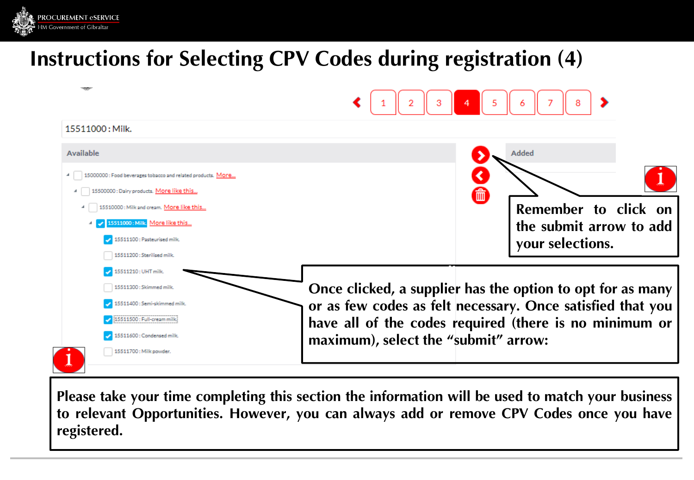# **Instructions for Selecting CPV Codes during registration (4)**

**ROCUREMENT eSERVICI** IM Government of Gibra



Please take your time completing this section the information will be used to match your business to relevant Opportunities. However, you can always add or remove CPV Codes once you have registered.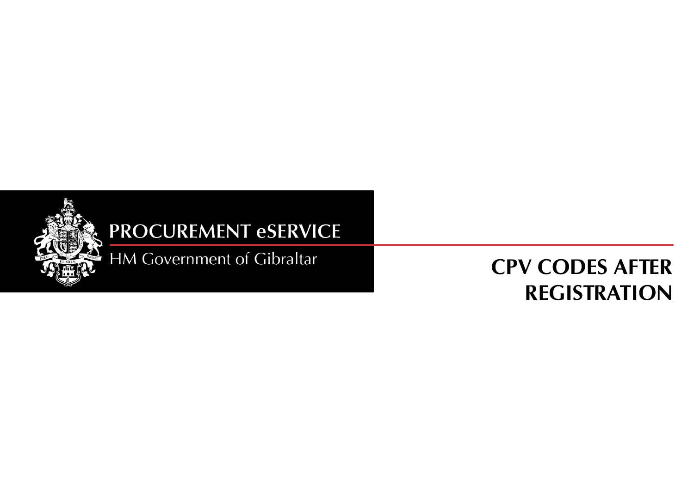

HM Government of Gibraltar

#### CPV CODES AFTER REGISTRATION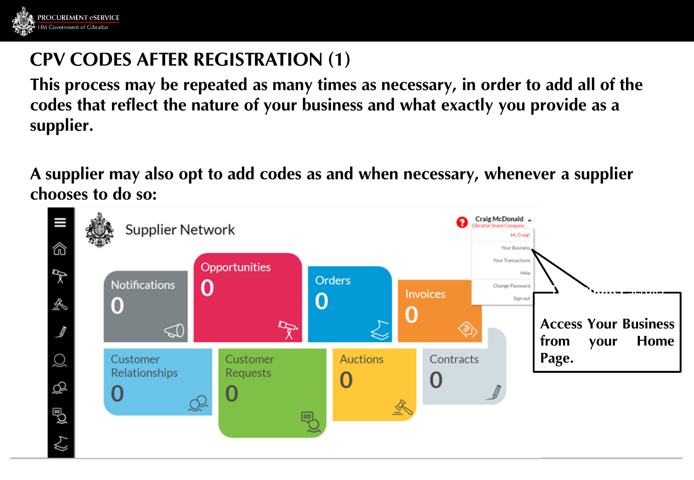

#### **CPV CODES AFTER REGISTRATION (1)**

**This process may be repeated as many times as necessary, in order to add all of the codes that reflect the nature of your business and what exactly you provide as a supplier.** 

**A supplier may also opt to add codes as and when necessary, whenever a supplier chooses to do so:**

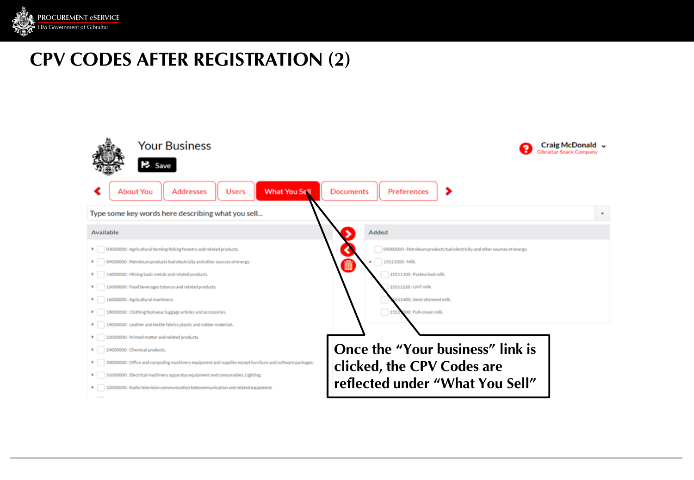

#### **CPV CODES AFTER REGISTRATION (2)**

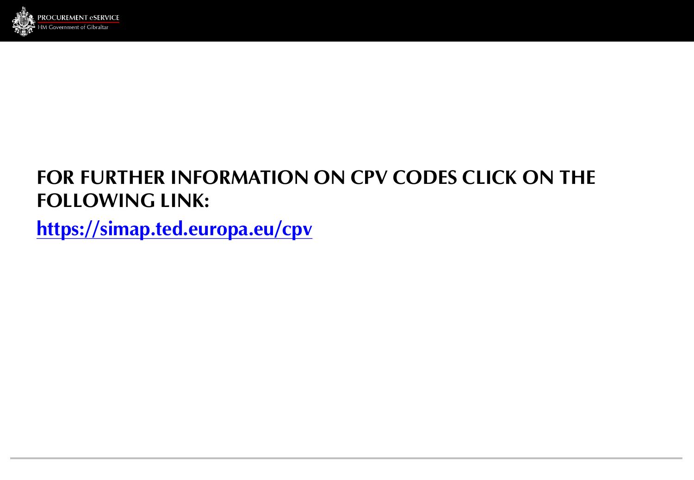

#### FOR FURTHER INFORMATION ON CPV CODES CLICK ON THE FOLLOWING LINK:

<https://simap.ted.europa.eu/cpv>